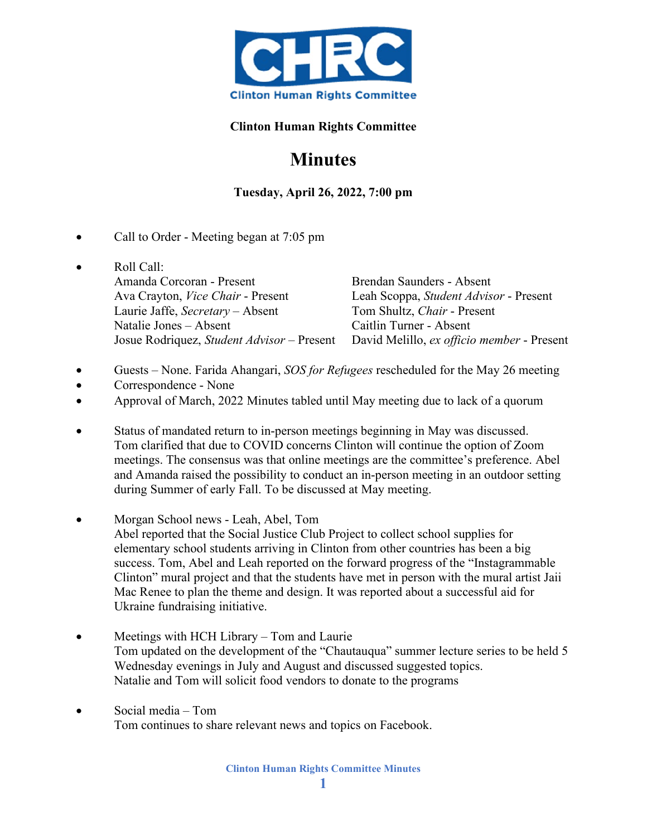

## **Clinton Human Rights Committee**

## **Minutes**

**Tuesday, April 26, 2022, 7:00 pm**

- Call to Order Meeting began at 7:05 pm
- Roll Call: Amanda Corcoran - Present Brendan Saunders - Absent Ava Crayton, *Vice Chair* - Present Leah Scoppa, *Student Advisor* - Present Laurie Jaffe, *Secretary* – Absent Tom Shultz, *Chair* - Present Natalie Jones – Absent Caitlin Turner - Absent Josue Rodriquez, *Student Advisor* – Present David Melillo, *ex officio member* - Present
- Guests None. Farida Ahangari, *SOS for Refugees* rescheduled for the May 26 meeting
- Correspondence None
- Approval of March, 2022 Minutes tabled until May meeting due to lack of a quorum
- Status of mandated return to in-person meetings beginning in May was discussed. Tom clarified that due to COVID concerns Clinton will continue the option of Zoom meetings. The consensus was that online meetings are the committee's preference. Abel and Amanda raised the possibility to conduct an in-person meeting in an outdoor setting during Summer of early Fall. To be discussed at May meeting.
- Morgan School news Leah, Abel, Tom Abel reported that the Social Justice Club Project to collect school supplies for elementary school students arriving in Clinton from other countries has been a big success. Tom, Abel and Leah reported on the forward progress of the "Instagrammable Clinton" mural project and that the students have met in person with the mural artist Jaii Mac Renee to plan the theme and design. It was reported about a successful aid for Ukraine fundraising initiative.
- Meetings with HCH Library Tom and Laurie Tom updated on the development of the "Chautauqua" summer lecture series to be held 5 Wednesday evenings in July and August and discussed suggested topics. Natalie and Tom will solicit food vendors to donate to the programs
- Social media Tom Tom continues to share relevant news and topics on Facebook.